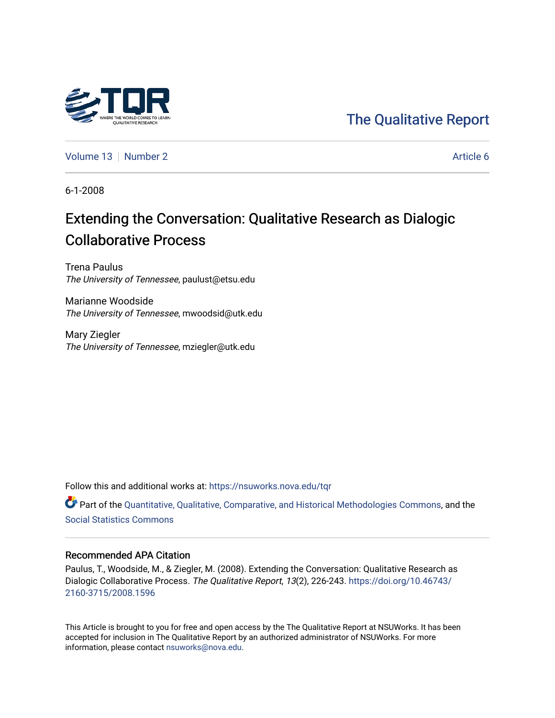

[Volume 13](https://nsuworks.nova.edu/tqr/vol13) [Number 2](https://nsuworks.nova.edu/tqr/vol13/iss2) Article 6

6-1-2008

# Extending the Conversation: Qualitative Research as Dialogic Collaborative Process

Trena Paulus The University of Tennessee, paulust@etsu.edu

Marianne Woodside The University of Tennessee, mwoodsid@utk.edu

Mary Ziegler The University of Tennessee, mziegler@utk.edu

Follow this and additional works at: [https://nsuworks.nova.edu/tqr](https://nsuworks.nova.edu/tqr?utm_source=nsuworks.nova.edu%2Ftqr%2Fvol13%2Fiss2%2F6&utm_medium=PDF&utm_campaign=PDFCoverPages) 

Part of the [Quantitative, Qualitative, Comparative, and Historical Methodologies Commons,](http://network.bepress.com/hgg/discipline/423?utm_source=nsuworks.nova.edu%2Ftqr%2Fvol13%2Fiss2%2F6&utm_medium=PDF&utm_campaign=PDFCoverPages) and the [Social Statistics Commons](http://network.bepress.com/hgg/discipline/1275?utm_source=nsuworks.nova.edu%2Ftqr%2Fvol13%2Fiss2%2F6&utm_medium=PDF&utm_campaign=PDFCoverPages) 

#### Recommended APA Citation

Paulus, T., Woodside, M., & Ziegler, M. (2008). Extending the Conversation: Qualitative Research as Dialogic Collaborative Process. The Qualitative Report, 13(2), 226-243. [https://doi.org/10.46743/](https://doi.org/10.46743/2160-3715/2008.1596) [2160-3715/2008.1596](https://doi.org/10.46743/2160-3715/2008.1596)

This Article is brought to you for free and open access by the The Qualitative Report at NSUWorks. It has been accepted for inclusion in The Qualitative Report by an authorized administrator of NSUWorks. For more information, please contact [nsuworks@nova.edu.](mailto:nsuworks@nova.edu)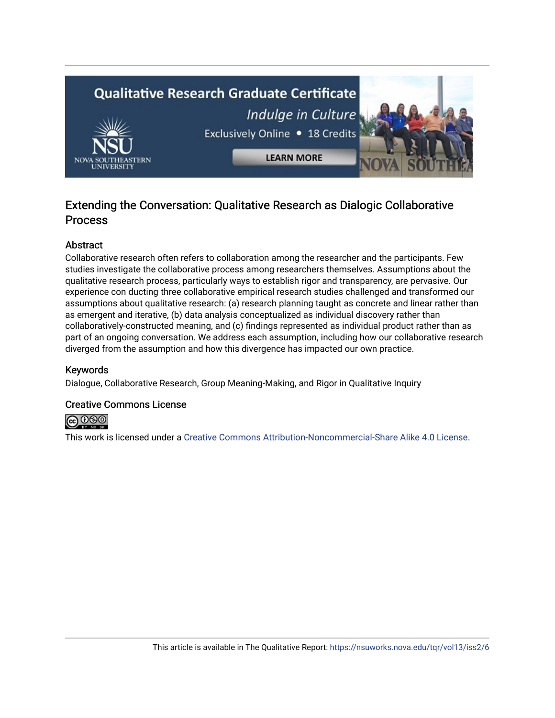# **Qualitative Research Graduate Certificate** Indulge in Culture Exclusively Online . 18 Credits **LEARN MORE**

# Extending the Conversation: Qualitative Research as Dialogic Collaborative Process

# Abstract

Collaborative research often refers to collaboration among the researcher and the participants. Few studies investigate the collaborative process among researchers themselves. Assumptions about the qualitative research process, particularly ways to establish rigor and transparency, are pervasive. Our experience con ducting three collaborative empirical research studies challenged and transformed our assumptions about qualitative research: (a) research planning taught as concrete and linear rather than as emergent and iterative, (b) data analysis conceptualized as individual discovery rather than collaboratively-constructed meaning, and (c) findings represented as individual product rather than as part of an ongoing conversation. We address each assumption, including how our collaborative research diverged from the assumption and how this divergence has impacted our own practice.

# Keywords

Dialogue, Collaborative Research, Group Meaning-Making, and Rigor in Qualitative Inquiry

#### Creative Commons License

**@** 000

This work is licensed under a [Creative Commons Attribution-Noncommercial-Share Alike 4.0 License](https://creativecommons.org/licenses/by-nc-sa/4.0/).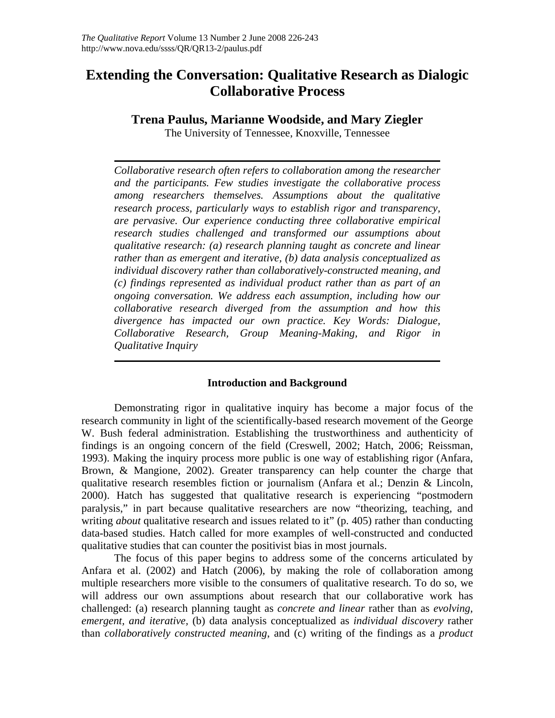# **Extending the Conversation: Qualitative Research as Dialogic Collaborative Process**

# **Trena Paulus, Marianne Woodside, and Mary Ziegler**

The University of Tennessee, Knoxville, Tennessee

*Collaborative research often refers to collaboration among the researcher and the participants. Few studies investigate the collaborative process among researchers themselves. Assumptions about the qualitative research process, particularly ways to establish rigor and transparency, are pervasive. Our experience conducting three collaborative empirical research studies challenged and transformed our assumptions about qualitative research: (a) research planning taught as concrete and linear rather than as emergent and iterative, (b) data analysis conceptualized as individual discovery rather than collaboratively-constructed meaning, and (c) findings represented as individual product rather than as part of an ongoing conversation. We address each assumption, including how our collaborative research diverged from the assumption and how this divergence has impacted our own practice. Key Words: Dialogue, Collaborative Research, Group Meaning-Making, and Rigor in Qualitative Inquiry*

# **Introduction and Background**

Demonstrating rigor in qualitative inquiry has become a major focus of the research community in light of the scientifically-based research movement of the George W. Bush federal administration. Establishing the trustworthiness and authenticity of findings is an ongoing concern of the field (Creswell, 2002; Hatch, 2006; Reissman, 1993). Making the inquiry process more public is one way of establishing rigor (Anfara, Brown, & Mangione, 2002). Greater transparency can help counter the charge that qualitative research resembles fiction or journalism (Anfara et al.; Denzin & Lincoln, 2000). Hatch has suggested that qualitative research is experiencing "postmodern paralysis," in part because qualitative researchers are now "theorizing, teaching, and writing *about* qualitative research and issues related to it" (p. 405) rather than conducting data-based studies. Hatch called for more examples of well-constructed and conducted qualitative studies that can counter the positivist bias in most journals.

The focus of this paper begins to address some of the concerns articulated by Anfara et al. (2002) and Hatch (2006), by making the role of collaboration among multiple researchers more visible to the consumers of qualitative research. To do so, we will address our own assumptions about research that our collaborative work has challenged: (a) research planning taught as *concrete and linear* rather than as *evolving, emergent, and iterative,* (b) data analysis conceptualized as *individual discovery* rather than *collaboratively constructed meaning*, and (c) writing of the findings as a *product*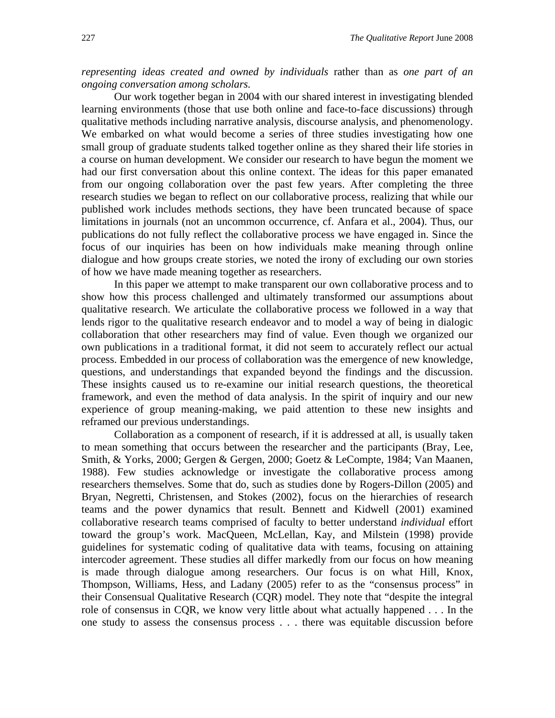*representing ideas created and owned by individuals* rather than as *one part of an ongoing conversation among scholars.* 

Our work together began in 2004 with our shared interest in investigating blended learning environments (those that use both online and face-to-face discussions) through qualitative methods including narrative analysis, discourse analysis, and phenomenology. We embarked on what would become a series of three studies investigating how one small group of graduate students talked together online as they shared their life stories in a course on human development. We consider our research to have begun the moment we had our first conversation about this online context. The ideas for this paper emanated from our ongoing collaboration over the past few years. After completing the three research studies we began to reflect on our collaborative process, realizing that while our published work includes methods sections, they have been truncated because of space limitations in journals (not an uncommon occurrence, cf. Anfara et al., 2004). Thus, our publications do not fully reflect the collaborative process we have engaged in. Since the focus of our inquiries has been on how individuals make meaning through online dialogue and how groups create stories, we noted the irony of excluding our own stories of how we have made meaning together as researchers.

In this paper we attempt to make transparent our own collaborative process and to show how this process challenged and ultimately transformed our assumptions about qualitative research. We articulate the collaborative process we followed in a way that lends rigor to the qualitative research endeavor and to model a way of being in dialogic collaboration that other researchers may find of value. Even though we organized our own publications in a traditional format, it did not seem to accurately reflect our actual process. Embedded in our process of collaboration was the emergence of new knowledge, questions, and understandings that expanded beyond the findings and the discussion. These insights caused us to re-examine our initial research questions, the theoretical framework, and even the method of data analysis. In the spirit of inquiry and our new experience of group meaning-making, we paid attention to these new insights and reframed our previous understandings.

Collaboration as a component of research, if it is addressed at all, is usually taken to mean something that occurs between the researcher and the participants (Bray, Lee, Smith, & Yorks, 2000; Gergen & Gergen, 2000; Goetz & LeCompte, 1984; Van Maanen, 1988). Few studies acknowledge or investigate the collaborative process among researchers themselves. Some that do, such as studies done by Rogers-Dillon (2005) and Bryan, Negretti, Christensen, and Stokes (2002), focus on the hierarchies of research teams and the power dynamics that result. Bennett and Kidwell (2001) examined collaborative research teams comprised of faculty to better understand *individual* effort toward the group's work. MacQueen, McLellan, Kay, and Milstein (1998) provide guidelines for systematic coding of qualitative data with teams, focusing on attaining intercoder agreement. These studies all differ markedly from our focus on how meaning is made through dialogue among researchers. Our focus is on what Hill, Knox, Thompson, Williams, Hess, and Ladany (2005) refer to as the "consensus process" in their Consensual Qualitative Research (CQR) model. They note that "despite the integral role of consensus in CQR, we know very little about what actually happened . . . In the one study to assess the consensus process . . . there was equitable discussion before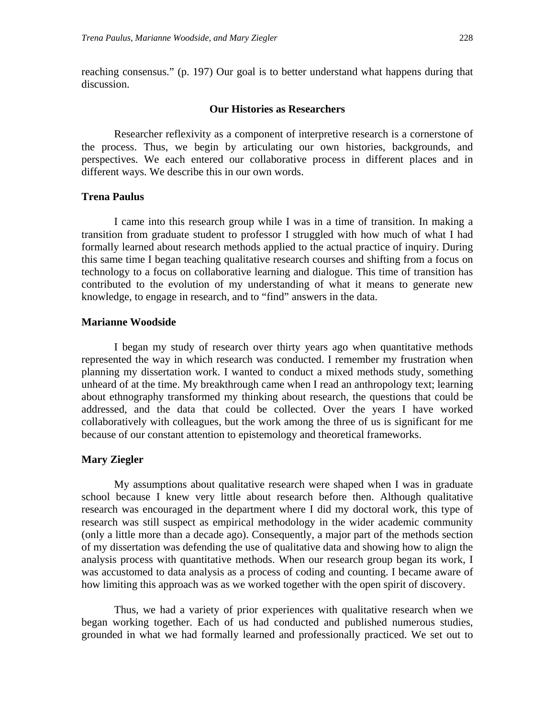reaching consensus." (p. 197) Our goal is to better understand what happens during that discussion.

#### **Our Histories as Researchers**

 Researcher reflexivity as a component of interpretive research is a cornerstone of the process. Thus, we begin by articulating our own histories, backgrounds, and perspectives. We each entered our collaborative process in different places and in different ways. We describe this in our own words.

#### **Trena Paulus**

I came into this research group while I was in a time of transition. In making a transition from graduate student to professor I struggled with how much of what I had formally learned about research methods applied to the actual practice of inquiry. During this same time I began teaching qualitative research courses and shifting from a focus on technology to a focus on collaborative learning and dialogue. This time of transition has contributed to the evolution of my understanding of what it means to generate new knowledge, to engage in research, and to "find" answers in the data.

#### **Marianne Woodside**

I began my study of research over thirty years ago when quantitative methods represented the way in which research was conducted. I remember my frustration when planning my dissertation work. I wanted to conduct a mixed methods study, something unheard of at the time. My breakthrough came when I read an anthropology text; learning about ethnography transformed my thinking about research, the questions that could be addressed, and the data that could be collected. Over the years I have worked collaboratively with colleagues, but the work among the three of us is significant for me because of our constant attention to epistemology and theoretical frameworks.

#### **Mary Ziegler**

My assumptions about qualitative research were shaped when I was in graduate school because I knew very little about research before then. Although qualitative research was encouraged in the department where I did my doctoral work, this type of research was still suspect as empirical methodology in the wider academic community (only a little more than a decade ago). Consequently, a major part of the methods section of my dissertation was defending the use of qualitative data and showing how to align the analysis process with quantitative methods. When our research group began its work, I was accustomed to data analysis as a process of coding and counting. I became aware of how limiting this approach was as we worked together with the open spirit of discovery.

Thus, we had a variety of prior experiences with qualitative research when we began working together. Each of us had conducted and published numerous studies, grounded in what we had formally learned and professionally practiced. We set out to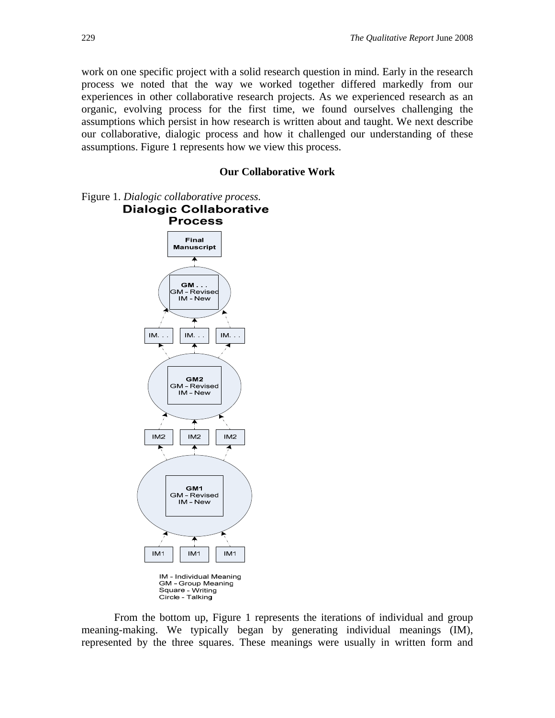work on one specific project with a solid research question in mind. Early in the research process we noted that the way we worked together differed markedly from our experiences in other collaborative research projects. As we experienced research as an organic, evolving process for the first time, we found ourselves challenging the assumptions which persist in how research is written about and taught. We next describe our collaborative, dialogic process and how it challenged our understanding of these assumptions. Figure 1 represents how we view this process.

#### **Our Collaborative Work**

Figure 1. *Dialogic collaborative process.*  **Dialogic Collaborative** 



Square - Writing<br>Circle - Talking

From the bottom up, Figure 1 represents the iterations of individual and group meaning-making. We typically began by generating individual meanings (IM), represented by the three squares. These meanings were usually in written form and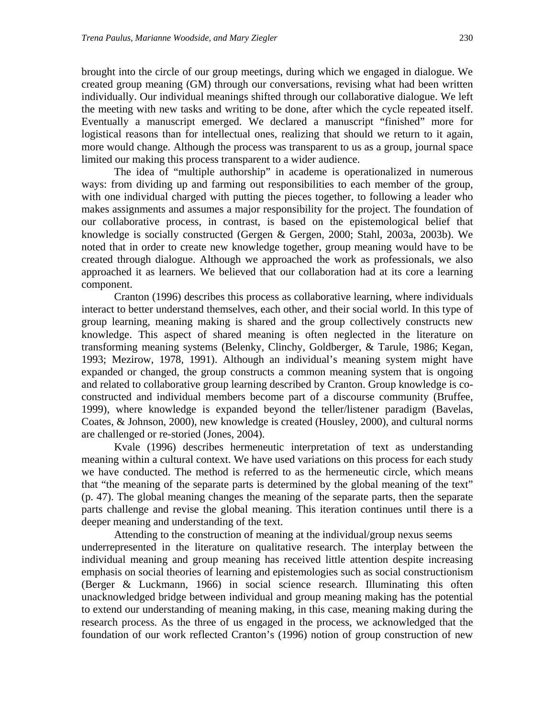brought into the circle of our group meetings, during which we engaged in dialogue. We created group meaning (GM) through our conversations, revising what had been written individually. Our individual meanings shifted through our collaborative dialogue. We left the meeting with new tasks and writing to be done, after which the cycle repeated itself. Eventually a manuscript emerged. We declared a manuscript "finished" more for logistical reasons than for intellectual ones, realizing that should we return to it again, more would change. Although the process was transparent to us as a group, journal space limited our making this process transparent to a wider audience.

The idea of "multiple authorship" in academe is operationalized in numerous ways: from dividing up and farming out responsibilities to each member of the group, with one individual charged with putting the pieces together, to following a leader who makes assignments and assumes a major responsibility for the project. The foundation of our collaborative process, in contrast, is based on the epistemological belief that knowledge is socially constructed (Gergen & Gergen, 2000; Stahl, 2003a, 2003b). We noted that in order to create new knowledge together, group meaning would have to be created through dialogue. Although we approached the work as professionals, we also approached it as learners. We believed that our collaboration had at its core a learning component.

Cranton (1996) describes this process as collaborative learning, where individuals interact to better understand themselves, each other, and their social world. In this type of group learning, meaning making is shared and the group collectively constructs new knowledge. This aspect of shared meaning is often neglected in the literature on transforming meaning systems (Belenky, Clinchy, Goldberger, & Tarule, 1986; Kegan, 1993; Mezirow, 1978, 1991). Although an individual's meaning system might have expanded or changed, the group constructs a common meaning system that is ongoing and related to collaborative group learning described by Cranton. Group knowledge is coconstructed and individual members become part of a discourse community (Bruffee, 1999), where knowledge is expanded beyond the teller/listener paradigm (Bavelas, Coates, & Johnson, 2000), new knowledge is created (Housley, 2000), and cultural norms are challenged or re-storied (Jones, 2004).

Kvale (1996) describes hermeneutic interpretation of text as understanding meaning within a cultural context. We have used variations on this process for each study we have conducted. The method is referred to as the hermeneutic circle, which means that "the meaning of the separate parts is determined by the global meaning of the text" (p. 47). The global meaning changes the meaning of the separate parts, then the separate parts challenge and revise the global meaning. This iteration continues until there is a deeper meaning and understanding of the text.

Attending to the construction of meaning at the individual/group nexus seems underrepresented in the literature on qualitative research. The interplay between the individual meaning and group meaning has received little attention despite increasing emphasis on social theories of learning and epistemologies such as social constructionism (Berger & Luckmann, 1966) in social science research. Illuminating this often unacknowledged bridge between individual and group meaning making has the potential to extend our understanding of meaning making, in this case, meaning making during the research process. As the three of us engaged in the process, we acknowledged that the foundation of our work reflected Cranton's (1996) notion of group construction of new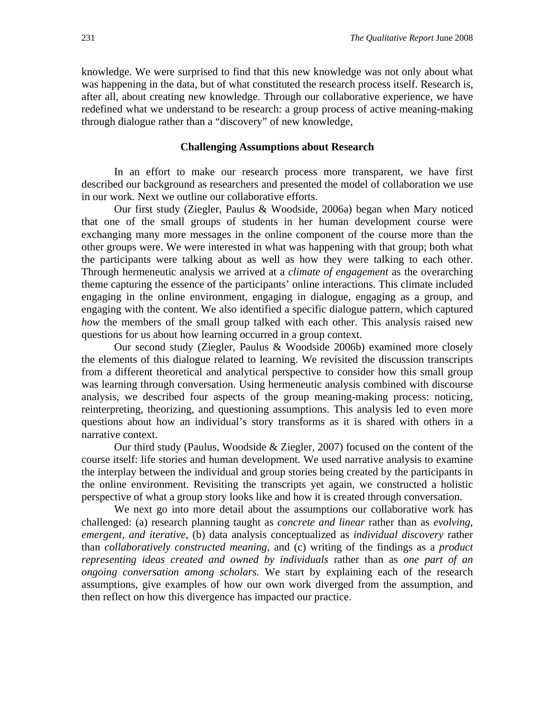knowledge. We were surprised to find that this new knowledge was not only about what was happening in the data, but of what constituted the research process itself. Research is, after all, about creating new knowledge. Through our collaborative experience, we have redefined what we understand to be research: a group process of active meaning-making through dialogue rather than a "discovery" of new knowledge,

#### **Challenging Assumptions about Research**

In an effort to make our research process more transparent, we have first described our background as researchers and presented the model of collaboration we use in our work. Next we outline our collaborative efforts.

Our first study (Ziegler, Paulus & Woodside, 2006a) began when Mary noticed that one of the small groups of students in her human development course were exchanging many more messages in the online component of the course more than the other groups were. We were interested in what was happening with that group; both what the participants were talking about as well as how they were talking to each other. Through hermeneutic analysis we arrived at a *climate of engagement* as the overarching theme capturing the essence of the participants' online interactions. This climate included engaging in the online environment, engaging in dialogue, engaging as a group, and engaging with the content. We also identified a specific dialogue pattern, which captured *how* the members of the small group talked with each other. This analysis raised new questions for us about how learning occurred in a group context.

Our second study (Ziegler, Paulus & Woodside 2006b) examined more closely the elements of this dialogue related to learning. We revisited the discussion transcripts from a different theoretical and analytical perspective to consider how this small group was learning through conversation. Using hermeneutic analysis combined with discourse analysis, we described four aspects of the group meaning-making process: noticing, reinterpreting, theorizing, and questioning assumptions. This analysis led to even more questions about how an individual's story transforms as it is shared with others in a narrative context.

Our third study (Paulus, Woodside & Ziegler, 2007) focused on the content of the course itself: life stories and human development. We used narrative analysis to examine the interplay between the individual and group stories being created by the participants in the online environment. Revisiting the transcripts yet again, we constructed a holistic perspective of what a group story looks like and how it is created through conversation.

We next go into more detail about the assumptions our collaborative work has challenged: (a) research planning taught as *concrete and linear* rather than as *evolving, emergent, and iterative,* (b) data analysis conceptualized as *individual discovery* rather than *collaboratively constructed meaning*, and (c) writing of the findings as a *product representing ideas created and owned by individuals* rather than as *one part of an ongoing conversation among scholars.* We start by explaining each of the research assumptions, give examples of how our own work diverged from the assumption, and then reflect on how this divergence has impacted our practice.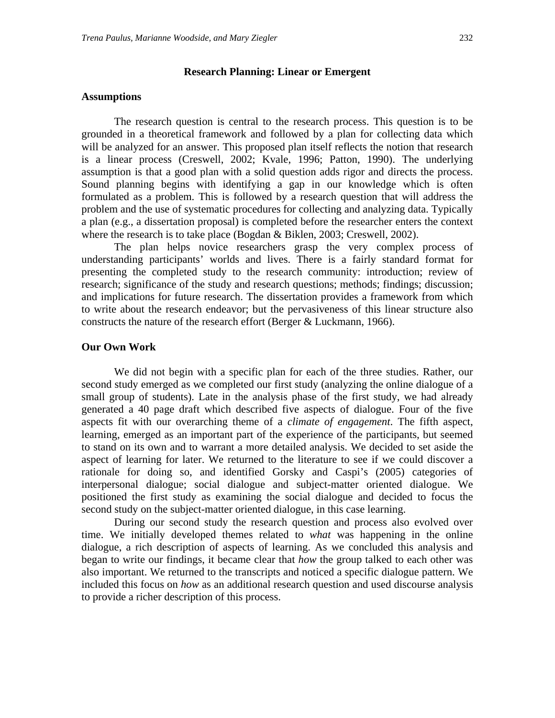#### **Research Planning: Linear or Emergent**

#### **Assumptions**

The research question is central to the research process. This question is to be grounded in a theoretical framework and followed by a plan for collecting data which will be analyzed for an answer. This proposed plan itself reflects the notion that research is a linear process (Creswell, 2002; Kvale, 1996; Patton, 1990). The underlying assumption is that a good plan with a solid question adds rigor and directs the process. Sound planning begins with identifying a gap in our knowledge which is often formulated as a problem. This is followed by a research question that will address the problem and the use of systematic procedures for collecting and analyzing data. Typically a plan (e.g., a dissertation proposal) is completed before the researcher enters the context where the research is to take place (Bogdan & Biklen, 2003; Creswell, 2002).

The plan helps novice researchers grasp the very complex process of understanding participants' worlds and lives. There is a fairly standard format for presenting the completed study to the research community: introduction; review of research; significance of the study and research questions; methods; findings; discussion; and implications for future research. The dissertation provides a framework from which to write about the research endeavor; but the pervasiveness of this linear structure also constructs the nature of the research effort (Berger & Luckmann, 1966).

#### **Our Own Work**

We did not begin with a specific plan for each of the three studies. Rather, our second study emerged as we completed our first study (analyzing the online dialogue of a small group of students). Late in the analysis phase of the first study, we had already generated a 40 page draft which described five aspects of dialogue. Four of the five aspects fit with our overarching theme of a *climate of engagement*. The fifth aspect, learning, emerged as an important part of the experience of the participants, but seemed to stand on its own and to warrant a more detailed analysis. We decided to set aside the aspect of learning for later. We returned to the literature to see if we could discover a rationale for doing so, and identified Gorsky and Caspi's (2005) categories of interpersonal dialogue; social dialogue and subject-matter oriented dialogue. We positioned the first study as examining the social dialogue and decided to focus the second study on the subject-matter oriented dialogue, in this case learning.

During our second study the research question and process also evolved over time. We initially developed themes related to *what* was happening in the online dialogue, a rich description of aspects of learning. As we concluded this analysis and began to write our findings, it became clear that *how* the group talked to each other was also important. We returned to the transcripts and noticed a specific dialogue pattern. We included this focus on *how* as an additional research question and used discourse analysis to provide a richer description of this process.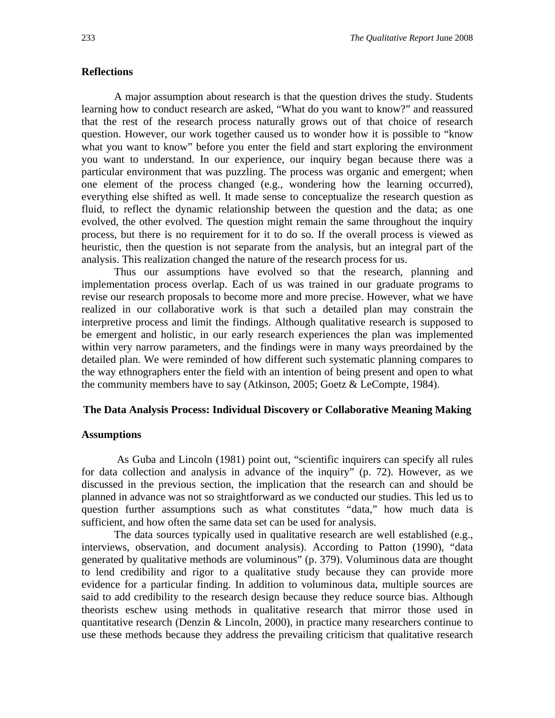#### **Reflections**

A major assumption about research is that the question drives the study. Students learning how to conduct research are asked, "What do you want to know?" and reassured that the rest of the research process naturally grows out of that choice of research question. However, our work together caused us to wonder how it is possible to "know what you want to know" before you enter the field and start exploring the environment you want to understand. In our experience, our inquiry began because there was a particular environment that was puzzling. The process was organic and emergent; when one element of the process changed (e.g., wondering how the learning occurred), everything else shifted as well. It made sense to conceptualize the research question as fluid, to reflect the dynamic relationship between the question and the data; as one evolved, the other evolved. The question might remain the same throughout the inquiry process, but there is no requirement for it to do so. If the overall process is viewed as heuristic, then the question is not separate from the analysis, but an integral part of the analysis. This realization changed the nature of the research process for us.

Thus our assumptions have evolved so that the research, planning and implementation process overlap. Each of us was trained in our graduate programs to revise our research proposals to become more and more precise. However, what we have realized in our collaborative work is that such a detailed plan may constrain the interpretive process and limit the findings. Although qualitative research is supposed to be emergent and holistic, in our early research experiences the plan was implemented within very narrow parameters, and the findings were in many ways preordained by the detailed plan. We were reminded of how different such systematic planning compares to the way ethnographers enter the field with an intention of being present and open to what the community members have to say (Atkinson, 2005; Goetz & LeCompte, 1984).

#### **The Data Analysis Process: Individual Discovery or Collaborative Meaning Making**

#### **Assumptions**

 As Guba and Lincoln (1981) point out, "scientific inquirers can specify all rules for data collection and analysis in advance of the inquiry" (p. 72). However, as we discussed in the previous section, the implication that the research can and should be planned in advance was not so straightforward as we conducted our studies. This led us to question further assumptions such as what constitutes "data," how much data is sufficient, and how often the same data set can be used for analysis.

The data sources typically used in qualitative research are well established (e.g., interviews, observation, and document analysis). According to Patton (1990), "data generated by qualitative methods are voluminous" (p. 379). Voluminous data are thought to lend credibility and rigor to a qualitative study because they can provide more evidence for a particular finding. In addition to voluminous data, multiple sources are said to add credibility to the research design because they reduce source bias. Although theorists eschew using methods in qualitative research that mirror those used in quantitative research (Denzin & Lincoln, 2000), in practice many researchers continue to use these methods because they address the prevailing criticism that qualitative research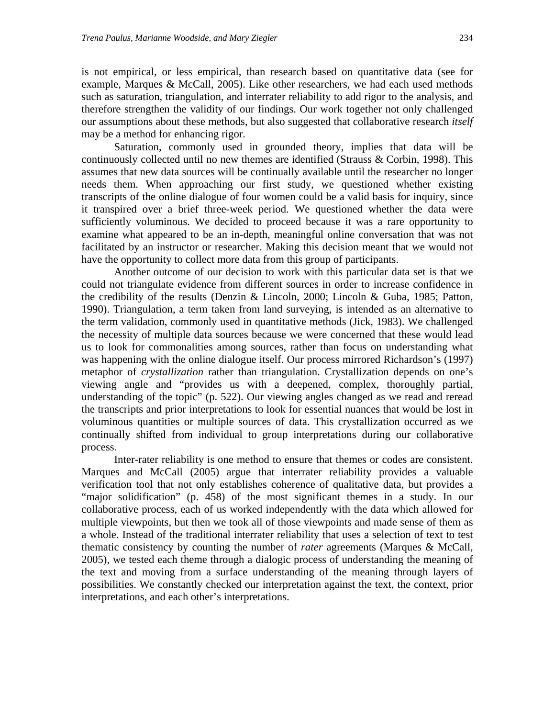is not empirical, or less empirical, than research based on quantitative data (see for example, Marques & McCall, 2005). Like other researchers, we had each used methods such as saturation, triangulation, and interrater reliability to add rigor to the analysis, and therefore strengthen the validity of our findings. Our work together not only challenged our assumptions about these methods, but also suggested that collaborative research *itself* may be a method for enhancing rigor.

Saturation, commonly used in grounded theory, implies that data will be continuously collected until no new themes are identified (Strauss & Corbin, 1998). This assumes that new data sources will be continually available until the researcher no longer needs them. When approaching our first study, we questioned whether existing transcripts of the online dialogue of four women could be a valid basis for inquiry, since it transpired over a brief three-week period. We questioned whether the data were sufficiently voluminous. We decided to proceed because it was a rare opportunity to examine what appeared to be an in-depth, meaningful online conversation that was not facilitated by an instructor or researcher. Making this decision meant that we would not have the opportunity to collect more data from this group of participants.

Another outcome of our decision to work with this particular data set is that we could not triangulate evidence from different sources in order to increase confidence in the credibility of the results (Denzin & Lincoln, 2000; Lincoln & Guba, 1985; Patton, 1990). Triangulation, a term taken from land surveying, is intended as an alternative to the term validation, commonly used in quantitative methods (Jick, 1983). We challenged the necessity of multiple data sources because we were concerned that these would lead us to look for commonalities among sources, rather than focus on understanding what was happening with the online dialogue itself. Our process mirrored Richardson's (1997) metaphor of *crystallization* rather than triangulation. Crystallization depends on one's viewing angle and "provides us with a deepened, complex, thoroughly partial, understanding of the topic" (p. 522). Our viewing angles changed as we read and reread the transcripts and prior interpretations to look for essential nuances that would be lost in voluminous quantities or multiple sources of data. This crystallization occurred as we continually shifted from individual to group interpretations during our collaborative process.

 Inter-rater reliability is one method to ensure that themes or codes are consistent. Marques and McCall (2005) argue that interrater reliability provides a valuable verification tool that not only establishes coherence of qualitative data, but provides a "major solidification" (p. 458) of the most significant themes in a study. In our collaborative process, each of us worked independently with the data which allowed for multiple viewpoints, but then we took all of those viewpoints and made sense of them as a whole. Instead of the traditional interrater reliability that uses a selection of text to test thematic consistency by counting the number of *rater* agreements (Marques & McCall, 2005), we tested each theme through a dialogic process of understanding the meaning of the text and moving from a surface understanding of the meaning through layers of possibilities. We constantly checked our interpretation against the text, the context, prior interpretations, and each other's interpretations.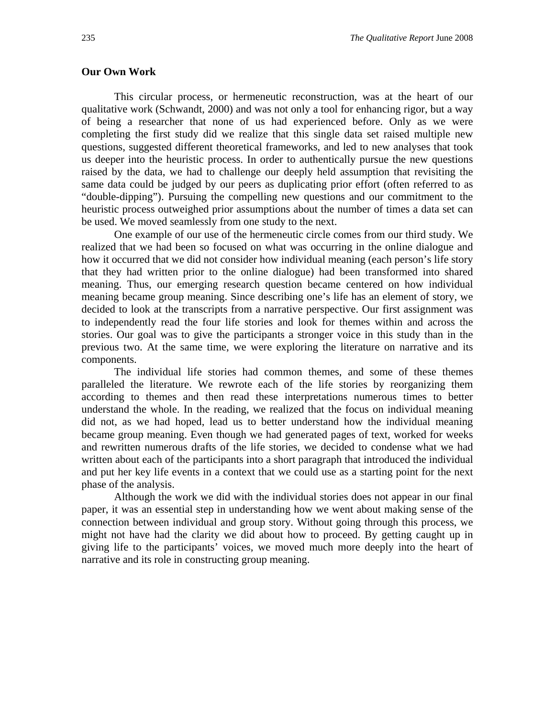#### **Our Own Work**

This circular process, or hermeneutic reconstruction, was at the heart of our qualitative work (Schwandt, 2000) and was not only a tool for enhancing rigor, but a way of being a researcher that none of us had experienced before. Only as we were completing the first study did we realize that this single data set raised multiple new questions, suggested different theoretical frameworks, and led to new analyses that took us deeper into the heuristic process. In order to authentically pursue the new questions raised by the data, we had to challenge our deeply held assumption that revisiting the same data could be judged by our peers as duplicating prior effort (often referred to as "double-dipping"). Pursuing the compelling new questions and our commitment to the heuristic process outweighed prior assumptions about the number of times a data set can be used. We moved seamlessly from one study to the next.

One example of our use of the hermeneutic circle comes from our third study. We realized that we had been so focused on what was occurring in the online dialogue and how it occurred that we did not consider how individual meaning (each person's life story that they had written prior to the online dialogue) had been transformed into shared meaning. Thus, our emerging research question became centered on how individual meaning became group meaning. Since describing one's life has an element of story, we decided to look at the transcripts from a narrative perspective. Our first assignment was to independently read the four life stories and look for themes within and across the stories. Our goal was to give the participants a stronger voice in this study than in the previous two. At the same time, we were exploring the literature on narrative and its components.

 The individual life stories had common themes, and some of these themes paralleled the literature. We rewrote each of the life stories by reorganizing them according to themes and then read these interpretations numerous times to better understand the whole. In the reading, we realized that the focus on individual meaning did not, as we had hoped, lead us to better understand how the individual meaning became group meaning. Even though we had generated pages of text, worked for weeks and rewritten numerous drafts of the life stories, we decided to condense what we had written about each of the participants into a short paragraph that introduced the individual and put her key life events in a context that we could use as a starting point for the next phase of the analysis.

 Although the work we did with the individual stories does not appear in our final paper, it was an essential step in understanding how we went about making sense of the connection between individual and group story. Without going through this process, we might not have had the clarity we did about how to proceed. By getting caught up in giving life to the participants' voices, we moved much more deeply into the heart of narrative and its role in constructing group meaning.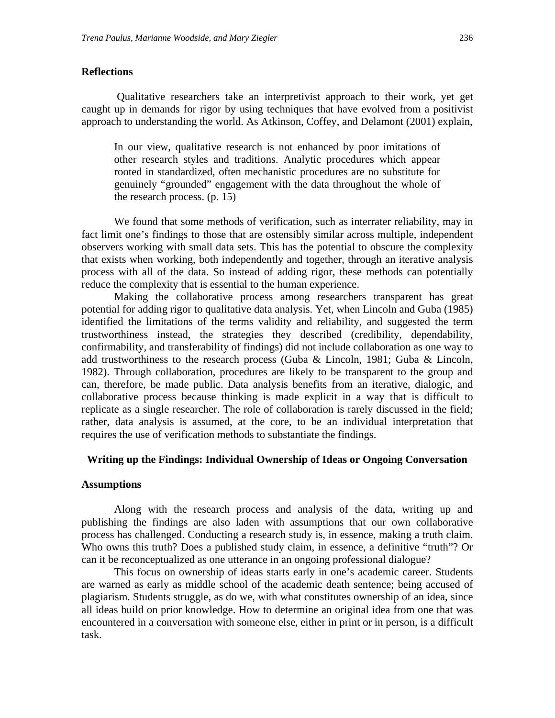#### **Reflections**

 Qualitative researchers take an interpretivist approach to their work, yet get caught up in demands for rigor by using techniques that have evolved from a positivist approach to understanding the world. As Atkinson, Coffey, and Delamont (2001) explain,

In our view, qualitative research is not enhanced by poor imitations of other research styles and traditions. Analytic procedures which appear rooted in standardized, often mechanistic procedures are no substitute for genuinely "grounded" engagement with the data throughout the whole of the research process. (p. 15)

We found that some methods of verification, such as interrater reliability, may in fact limit one's findings to those that are ostensibly similar across multiple, independent observers working with small data sets. This has the potential to obscure the complexity that exists when working, both independently and together, through an iterative analysis process with all of the data. So instead of adding rigor, these methods can potentially reduce the complexity that is essential to the human experience.

 Making the collaborative process among researchers transparent has great potential for adding rigor to qualitative data analysis. Yet, when Lincoln and Guba (1985) identified the limitations of the terms validity and reliability, and suggested the term trustworthiness instead, the strategies they described (credibility, dependability, confirmability, and transferability of findings) did not include collaboration as one way to add trustworthiness to the research process (Guba & Lincoln, 1981; Guba & Lincoln, 1982). Through collaboration, procedures are likely to be transparent to the group and can, therefore, be made public. Data analysis benefits from an iterative, dialogic, and collaborative process because thinking is made explicit in a way that is difficult to replicate as a single researcher. The role of collaboration is rarely discussed in the field; rather, data analysis is assumed, at the core, to be an individual interpretation that requires the use of verification methods to substantiate the findings.

#### **Writing up the Findings: Individual Ownership of Ideas or Ongoing Conversation**

#### **Assumptions**

Along with the research process and analysis of the data, writing up and publishing the findings are also laden with assumptions that our own collaborative process has challenged. Conducting a research study is, in essence, making a truth claim. Who owns this truth? Does a published study claim, in essence, a definitive "truth"? Or can it be reconceptualized as one utterance in an ongoing professional dialogue?

This focus on ownership of ideas starts early in one's academic career. Students are warned as early as middle school of the academic death sentence; being accused of plagiarism. Students struggle, as do we, with what constitutes ownership of an idea, since all ideas build on prior knowledge. How to determine an original idea from one that was encountered in a conversation with someone else, either in print or in person, is a difficult task.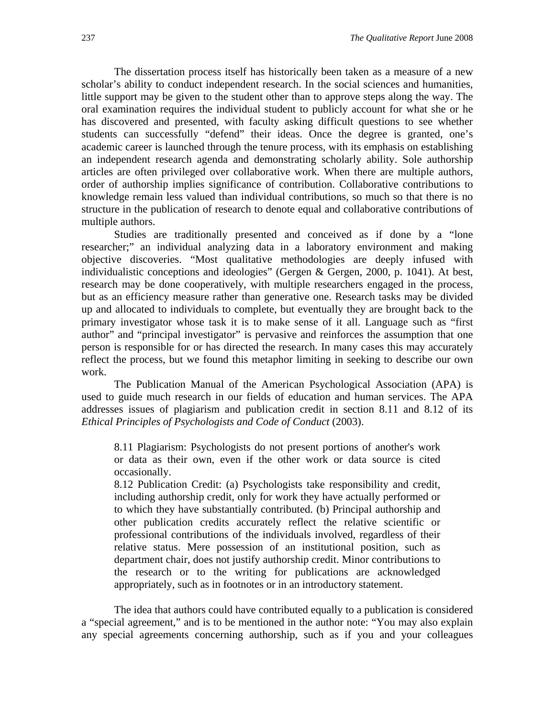The dissertation process itself has historically been taken as a measure of a new scholar's ability to conduct independent research. In the social sciences and humanities, little support may be given to the student other than to approve steps along the way. The oral examination requires the individual student to publicly account for what she or he has discovered and presented, with faculty asking difficult questions to see whether students can successfully "defend" their ideas. Once the degree is granted, one's academic career is launched through the tenure process, with its emphasis on establishing an independent research agenda and demonstrating scholarly ability. Sole authorship articles are often privileged over collaborative work. When there are multiple authors, order of authorship implies significance of contribution. Collaborative contributions to knowledge remain less valued than individual contributions, so much so that there is no structure in the publication of research to denote equal and collaborative contributions of multiple authors.

Studies are traditionally presented and conceived as if done by a "lone researcher;" an individual analyzing data in a laboratory environment and making objective discoveries. "Most qualitative methodologies are deeply infused with individualistic conceptions and ideologies" (Gergen & Gergen, 2000, p. 1041). At best, research may be done cooperatively, with multiple researchers engaged in the process, but as an efficiency measure rather than generative one. Research tasks may be divided up and allocated to individuals to complete, but eventually they are brought back to the primary investigator whose task it is to make sense of it all. Language such as "first author" and "principal investigator" is pervasive and reinforces the assumption that one person is responsible for or has directed the research. In many cases this may accurately reflect the process, but we found this metaphor limiting in seeking to describe our own work.

The Publication Manual of the American Psychological Association (APA) is used to guide much research in our fields of education and human services. The APA addresses issues of plagiarism and publication credit in section 8.11 and 8.12 of its *Ethical Principles of Psychologists and Code of Conduct* (2003).

8.11 Plagiarism: Psychologists do not present portions of another's work or data as their own, even if the other work or data source is cited occasionally.

8.12 Publication Credit: (a) Psychologists take responsibility and credit, including authorship credit, only for work they have actually performed or to which they have substantially contributed. (b) Principal authorship and other publication credits accurately reflect the relative scientific or professional contributions of the individuals involved, regardless of their relative status. Mere possession of an institutional position, such as department chair, does not justify authorship credit. Minor contributions to the research or to the writing for publications are acknowledged appropriately, such as in footnotes or in an introductory statement.

The idea that authors could have contributed equally to a publication is considered a "special agreement," and is to be mentioned in the author note: "You may also explain any special agreements concerning authorship, such as if you and your colleagues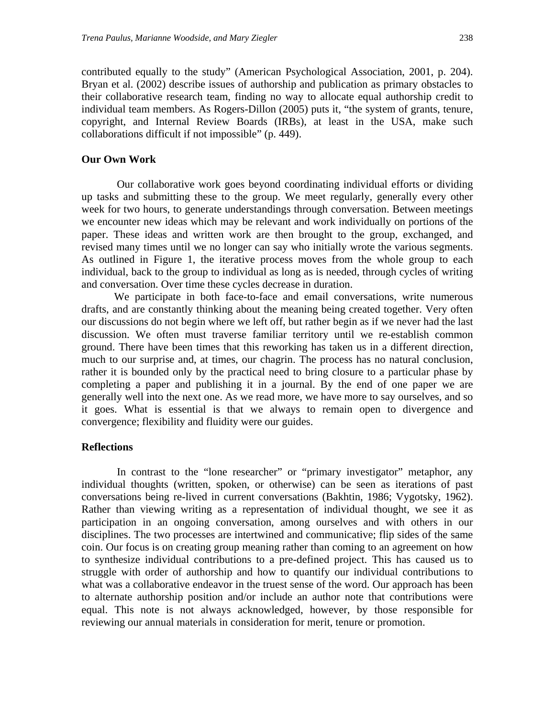contributed equally to the study" (American Psychological Association, 2001, p. 204). Bryan et al. (2002) describe issues of authorship and publication as primary obstacles to their collaborative research team, finding no way to allocate equal authorship credit to individual team members. As Rogers-Dillon (2005) puts it, "the system of grants, tenure, copyright, and Internal Review Boards (IRBs), at least in the USA, make such collaborations difficult if not impossible" (p. 449).

#### **Our Own Work**

 Our collaborative work goes beyond coordinating individual efforts or dividing up tasks and submitting these to the group. We meet regularly, generally every other week for two hours, to generate understandings through conversation. Between meetings we encounter new ideas which may be relevant and work individually on portions of the paper. These ideas and written work are then brought to the group, exchanged, and revised many times until we no longer can say who initially wrote the various segments. As outlined in Figure 1, the iterative process moves from the whole group to each individual, back to the group to individual as long as is needed, through cycles of writing and conversation. Over time these cycles decrease in duration.

We participate in both face-to-face and email conversations, write numerous drafts, and are constantly thinking about the meaning being created together. Very often our discussions do not begin where we left off, but rather begin as if we never had the last discussion. We often must traverse familiar territory until we re-establish common ground. There have been times that this reworking has taken us in a different direction, much to our surprise and, at times, our chagrin. The process has no natural conclusion, rather it is bounded only by the practical need to bring closure to a particular phase by completing a paper and publishing it in a journal. By the end of one paper we are generally well into the next one. As we read more, we have more to say ourselves, and so it goes. What is essential is that we always to remain open to divergence and convergence; flexibility and fluidity were our guides.

#### **Reflections**

In contrast to the "lone researcher" or "primary investigator" metaphor, any individual thoughts (written, spoken, or otherwise) can be seen as iterations of past conversations being re-lived in current conversations (Bakhtin, 1986; Vygotsky, 1962). Rather than viewing writing as a representation of individual thought, we see it as participation in an ongoing conversation, among ourselves and with others in our disciplines. The two processes are intertwined and communicative; flip sides of the same coin. Our focus is on creating group meaning rather than coming to an agreement on how to synthesize individual contributions to a pre-defined project. This has caused us to struggle with order of authorship and how to quantify our individual contributions to what was a collaborative endeavor in the truest sense of the word. Our approach has been to alternate authorship position and/or include an author note that contributions were equal. This note is not always acknowledged, however, by those responsible for reviewing our annual materials in consideration for merit, tenure or promotion.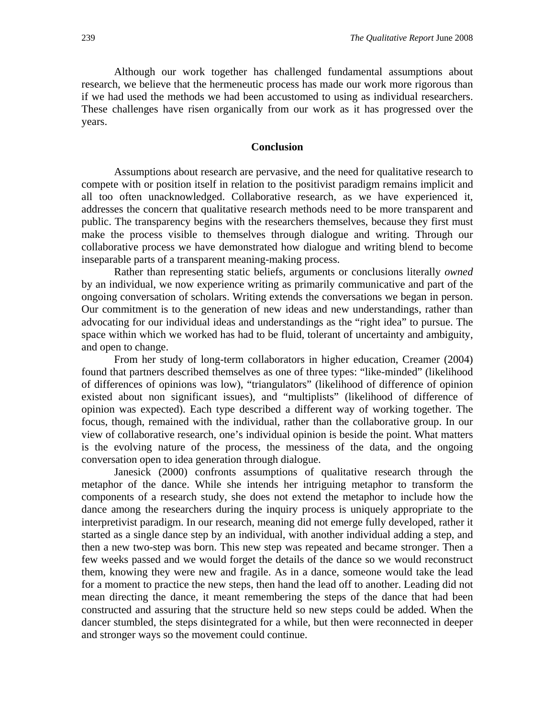Although our work together has challenged fundamental assumptions about research, we believe that the hermeneutic process has made our work more rigorous than if we had used the methods we had been accustomed to using as individual researchers. These challenges have risen organically from our work as it has progressed over the years.

#### **Conclusion**

Assumptions about research are pervasive, and the need for qualitative research to compete with or position itself in relation to the positivist paradigm remains implicit and all too often unacknowledged. Collaborative research, as we have experienced it, addresses the concern that qualitative research methods need to be more transparent and public. The transparency begins with the researchers themselves, because they first must make the process visible to themselves through dialogue and writing. Through our collaborative process we have demonstrated how dialogue and writing blend to become inseparable parts of a transparent meaning-making process.

Rather than representing static beliefs, arguments or conclusions literally *owned* by an individual, we now experience writing as primarily communicative and part of the ongoing conversation of scholars. Writing extends the conversations we began in person. Our commitment is to the generation of new ideas and new understandings, rather than advocating for our individual ideas and understandings as the "right idea" to pursue. The space within which we worked has had to be fluid, tolerant of uncertainty and ambiguity, and open to change.

From her study of long-term collaborators in higher education, Creamer (2004) found that partners described themselves as one of three types: "like-minded" (likelihood of differences of opinions was low), "triangulators" (likelihood of difference of opinion existed about non significant issues), and "multiplists" (likelihood of difference of opinion was expected). Each type described a different way of working together. The focus, though, remained with the individual, rather than the collaborative group. In our view of collaborative research, one's individual opinion is beside the point. What matters is the evolving nature of the process, the messiness of the data, and the ongoing conversation open to idea generation through dialogue.

Janesick (2000) confronts assumptions of qualitative research through the metaphor of the dance. While she intends her intriguing metaphor to transform the components of a research study, she does not extend the metaphor to include how the dance among the researchers during the inquiry process is uniquely appropriate to the interpretivist paradigm. In our research, meaning did not emerge fully developed, rather it started as a single dance step by an individual, with another individual adding a step, and then a new two-step was born. This new step was repeated and became stronger. Then a few weeks passed and we would forget the details of the dance so we would reconstruct them, knowing they were new and fragile. As in a dance, someone would take the lead for a moment to practice the new steps, then hand the lead off to another. Leading did not mean directing the dance, it meant remembering the steps of the dance that had been constructed and assuring that the structure held so new steps could be added. When the dancer stumbled, the steps disintegrated for a while, but then were reconnected in deeper and stronger ways so the movement could continue.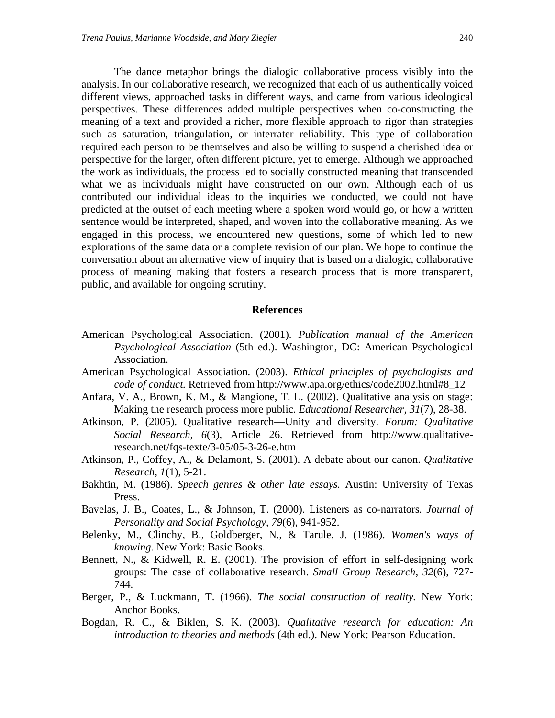The dance metaphor brings the dialogic collaborative process visibly into the analysis. In our collaborative research, we recognized that each of us authentically voiced different views, approached tasks in different ways, and came from various ideological perspectives. These differences added multiple perspectives when co-constructing the meaning of a text and provided a richer, more flexible approach to rigor than strategies such as saturation, triangulation, or interrater reliability. This type of collaboration required each person to be themselves and also be willing to suspend a cherished idea or perspective for the larger, often different picture, yet to emerge. Although we approached the work as individuals, the process led to socially constructed meaning that transcended what we as individuals might have constructed on our own. Although each of us contributed our individual ideas to the inquiries we conducted, we could not have predicted at the outset of each meeting where a spoken word would go, or how a written sentence would be interpreted, shaped, and woven into the collaborative meaning. As we engaged in this process, we encountered new questions, some of which led to new explorations of the same data or a complete revision of our plan. We hope to continue the conversation about an alternative view of inquiry that is based on a dialogic, collaborative process of meaning making that fosters a research process that is more transparent, public, and available for ongoing scrutiny.

#### **References**

- American Psychological Association. (2001). *Publication manual of the American Psychological Association* (5th ed.). Washington, DC: American Psychological Association.
- American Psychological Association. (2003). *Ethical principles of psychologists and code of conduct.* Retrieved from http://www.apa.org/ethics/code2002.html#8\_12
- Anfara, V. A., Brown, K. M., & Mangione, T. L. (2002). Qualitative analysis on stage: Making the research process more public. *Educational Researcher, 31*(7), 28-38.
- Atkinson, P. (2005). Qualitative research—Unity and diversity. *Forum: Qualitative Social Research, 6*(3), Article 26. Retrieved from http://www.qualitativeresearch.net/fqs-texte/3-05/05-3-26-e.htm
- Atkinson, P., Coffey, A., & Delamont, S. (2001). A debate about our canon. *Qualitative Research, 1*(1), 5-21.
- Bakhtin, M. (1986). *Speech genres & other late essays.* Austin: University of Texas Press.
- Bavelas, J. B., Coates, L., & Johnson, T. (2000). Listeners as co-narrators*. Journal of Personality and Social Psychology, 79*(6), 941-952.
- Belenky, M., Clinchy, B., Goldberger, N., & Tarule, J. (1986). *Women's ways of knowing*. New York: Basic Books.
- Bennett, N., & Kidwell, R. E. (2001). The provision of effort in self-designing work groups: The case of collaborative research. *Small Group Research, 32*(6), 727- 744.
- Berger, P., & Luckmann, T. (1966). *The social construction of reality.* New York: Anchor Books.
- Bogdan, R. C., & Biklen, S. K. (2003). *Qualitative research for education: An introduction to theories and methods* (4th ed.). New York: Pearson Education.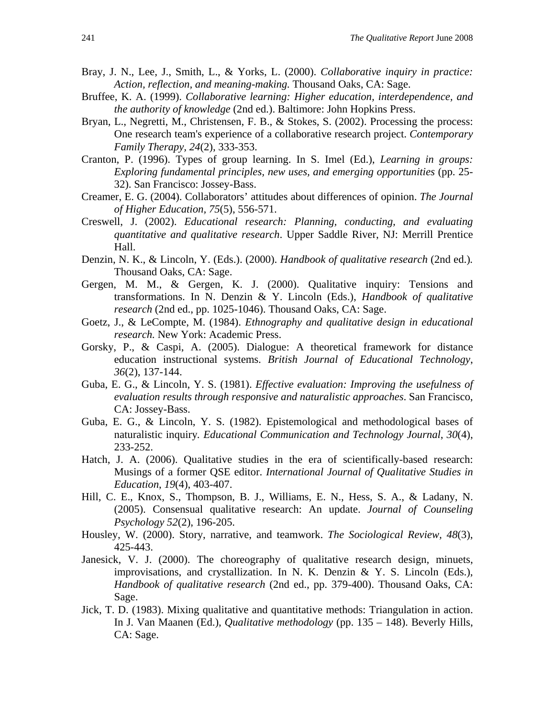- Bray, J. N., Lee, J., Smith, L., & Yorks, L. (2000). *Collaborative inquiry in practice: Action, reflection, and meaning-making.* Thousand Oaks, CA: Sage.
- Bruffee, K. A. (1999). *Collaborative learning: Higher education, interdependence, and the authority of knowledge* (2nd ed.). Baltimore: John Hopkins Press.
- Bryan, L., Negretti, M., Christensen, F. B., & Stokes, S. (2002). Processing the process: One research team's experience of a collaborative research project. *Contemporary Family Therapy, 24*(2), 333-353.
- Cranton, P. (1996). Types of group learning. In S. Imel (Ed.), *Learning in groups: Exploring fundamental principles, new uses, and emerging opportunities* (pp. 25- 32). San Francisco: Jossey-Bass.
- Creamer, E. G. (2004). Collaborators' attitudes about differences of opinion. *The Journal of Higher Education, 75*(5), 556-571.
- Creswell, J. (2002). *Educational research: Planning, conducting, and evaluating quantitative and qualitative research*. Upper Saddle River, NJ: Merrill Prentice Hall.
- Denzin, N. K., & Lincoln, Y. (Eds.). (2000). *Handbook of qualitative research* (2nd ed.)*.* Thousand Oaks, CA: Sage.
- Gergen, M. M., & Gergen, K. J. (2000). Qualitative inquiry: Tensions and transformations. In N. Denzin & Y. Lincoln (Eds.), *Handbook of qualitative research* (2nd ed., pp. 1025-1046). Thousand Oaks, CA: Sage.
- Goetz, J., & LeCompte, M. (1984). *Ethnography and qualitative design in educational research.* New York: Academic Press.
- Gorsky, P., & Caspi, A. (2005). Dialogue: A theoretical framework for distance education instructional systems. *British Journal of Educational Technology*, *36*(2), 137-144.
- Guba, E. G., & Lincoln, Y. S. (1981). *Effective evaluation: Improving the usefulness of evaluation results through responsive and naturalistic approaches*. San Francisco, CA: Jossey-Bass.
- Guba, E. G., & Lincoln, Y. S. (1982). Epistemological and methodological bases of naturalistic inquiry*. Educational Communication and Technology Journal*, *30*(4), 233-252.
- Hatch, J. A. (2006). Qualitative studies in the era of scientifically-based research: Musings of a former QSE editor. *International Journal of Qualitative Studies in Education*, *19*(4), 403-407.
- Hill, C. E., Knox, S., Thompson, B. J., Williams, E. N., Hess, S. A., & Ladany, N. (2005). Consensual qualitative research: An update. *Journal of Counseling Psychology 52*(2), 196-205.
- Housley, W. (2000). Story, narrative, and teamwork. *The Sociological Review, 48*(3), 425-443.
- Janesick, V. J. (2000). The choreography of qualitative research design, minuets, improvisations, and crystallization. In N. K. Denzin & Y. S. Lincoln (Eds.), *Handbook of qualitative research* (2nd ed., pp. 379-400). Thousand Oaks, CA: Sage.
- Jick, T. D. (1983). Mixing qualitative and quantitative methods: Triangulation in action. In J. Van Maanen (Ed.), *Qualitative methodology* (pp. 135 – 148). Beverly Hills, CA: Sage.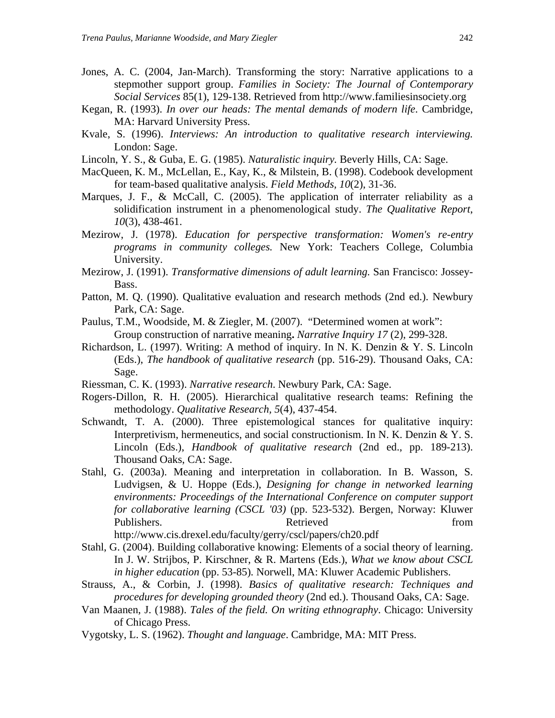- Jones, A. C. (2004, Jan-March). Transforming the story: Narrative applications to a stepmother support group. *Families in Society: The Journal of Contemporary Social Services* 85(1), 129-138. Retrieved from http://www.familiesinsociety.org
- Kegan, R. (1993). *In over our heads: The mental demands of modern life*. Cambridge, MA: Harvard University Press.
- Kvale, S. (1996). *Interviews: An introduction to qualitative research interviewing.* London: Sage.
- Lincoln, Y. S., & Guba, E. G. (1985). *Naturalistic inquiry.* Beverly Hills, CA: Sage.
- MacQueen, K. M., McLellan, E., Kay, K., & Milstein, B. (1998). Codebook development for team-based qualitative analysis. *Field Methods, 10*(2), 31-36.
- Marques, J. F., & McCall, C. (2005). The application of interrater reliability as a solidification instrument in a phenomenological study. *The Qualitative Report*, *10*(3), 438-461.
- Mezirow, J. (1978). *Education for perspective transformation: Women's re-entry programs in community colleges.* New York: Teachers College, Columbia University.
- Mezirow, J. (1991). *Transformative dimensions of adult learning.* San Francisco: Jossey-Bass.
- Patton, M. Q. (1990). Qualitative evaluation and research methods (2nd ed.). Newbury Park, CA: Sage.
- Paulus, T.M., Woodside, M. & Ziegler, M. (2007)."Determined women at work": Group construction of narrative meaning**.** *Narrative Inquiry 17* (2), 299-328.
- Richardson, L. (1997). Writing: A method of inquiry. In N. K. Denzin & Y. S. Lincoln (Eds.), *The handbook of qualitative research* (pp. 516-29). Thousand Oaks, CA: Sage.
- Riessman, C. K. (1993). *Narrative research*. Newbury Park, CA: Sage.
- Rogers-Dillon, R. H. (2005). Hierarchical qualitative research teams: Refining the methodology. *Qualitative Research, 5*(4), 437-454.
- Schwandt, T. A. (2000). Three epistemological stances for qualitative inquiry: Interpretivism, hermeneutics, and social constructionism. In N. K. Denzin & Y. S. Lincoln (Eds.), *Handbook of qualitative research* (2nd ed., pp. 189-213). Thousand Oaks, CA: Sage.
- Stahl, G. (2003a). Meaning and interpretation in collaboration. In B. Wasson, S. Ludvigsen, & U. Hoppe (Eds.), *Designing for change in networked learning environments: Proceedings of the International Conference on computer support for collaborative learning (CSCL '03)* (pp. 523-532). Bergen, Norway: Kluwer Publishers. Retrieved from Retrieved from the set of the set of the set of the set of the set of the set of the set of the set of the set of the set of the set of the set of the set of the set of the set of the set of the

http://www.cis.drexel.edu/faculty/gerry/cscl/papers/ch20.pdf

- Stahl, G. (2004). Building collaborative knowing: Elements of a social theory of learning. In J. W. Strijbos, P. Kirschner, & R. Martens (Eds.), *What we know about CSCL in higher education* (pp. 53-85)*.* Norwell, MA: Kluwer Academic Publishers.
- Strauss, A., & Corbin, J. (1998). *Basics of qualitative research: Techniques and procedures for developing grounded theory* (2nd ed.). Thousand Oaks, CA: Sage.
- Van Maanen, J. (1988). *Tales of the field. On writing ethnography*. Chicago: University of Chicago Press.
- Vygotsky, L. S. (1962). *Thought and language*. Cambridge, MA: MIT Press.